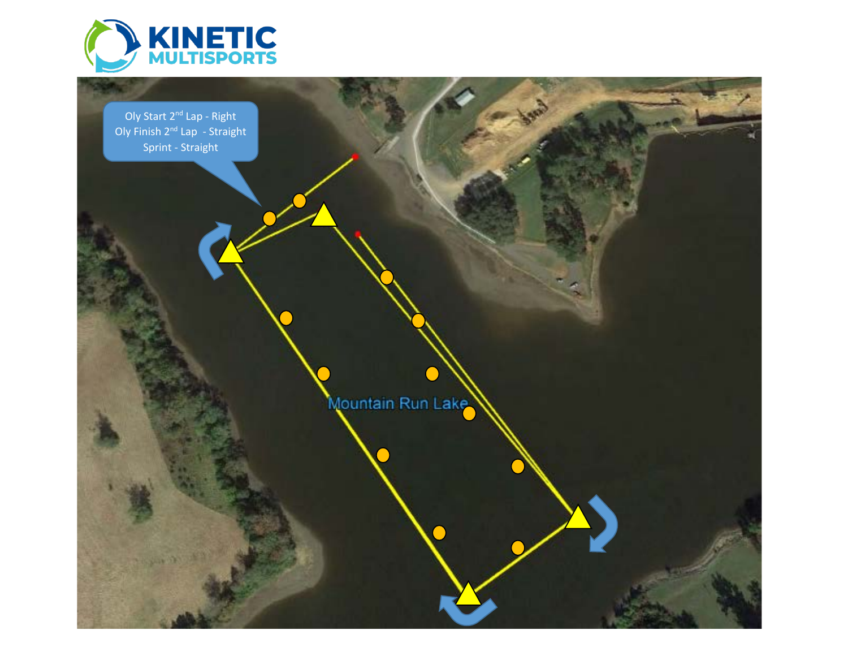

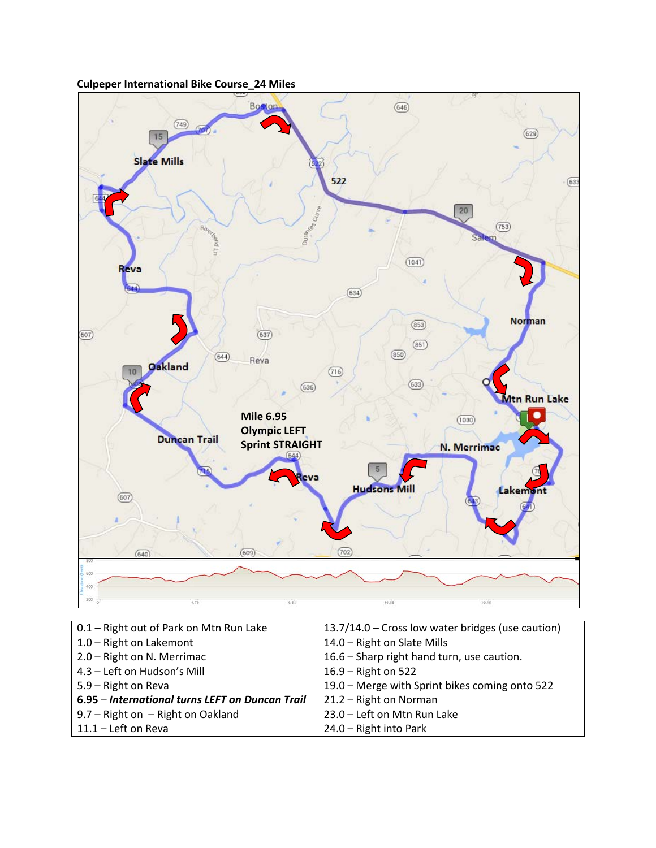



| 13.7/14.0 – Cross low water bridges (use caution) |
|---------------------------------------------------|
| 14.0 - Right on Slate Mills                       |
| 16.6 - Sharp right hand turn, use caution.        |
| 16.9 - Right on 522                               |
| 19.0 – Merge with Sprint bikes coming onto 522    |
| 21.2 - Right on Norman                            |
| 23.0 - Left on Mtn Run Lake                       |
| 24.0 - Right into Park                            |
|                                                   |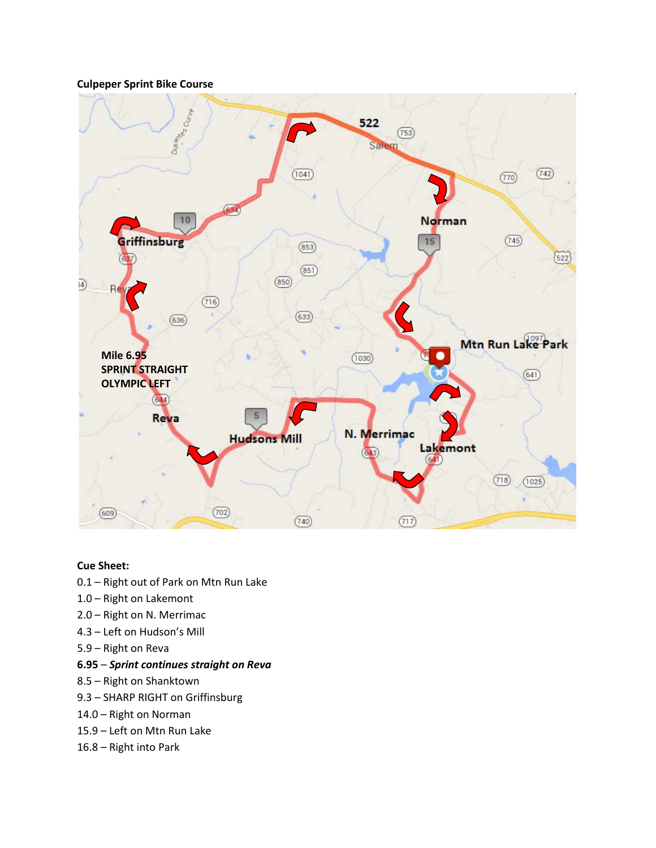## **Culpeper Sprint Bike Course**



#### **Cue Sheet:**

- 0.1 Right out of Park on Mtn Run Lake
- 1.0 Right on Lakemont
- 2.0 Right on N. Merrimac
- 4.3 Left on Hudson's Mill
- 5.9 Right on Reva

#### **6.95** – *Sprint continues straight on Reva*

- 8.5 Right on Shanktown
- 9.3 SHARP RIGHT on Griffinsburg
- 14.0 Right on Norman
- 15.9 Left on Mtn Run Lake
- 16.8 Right into Park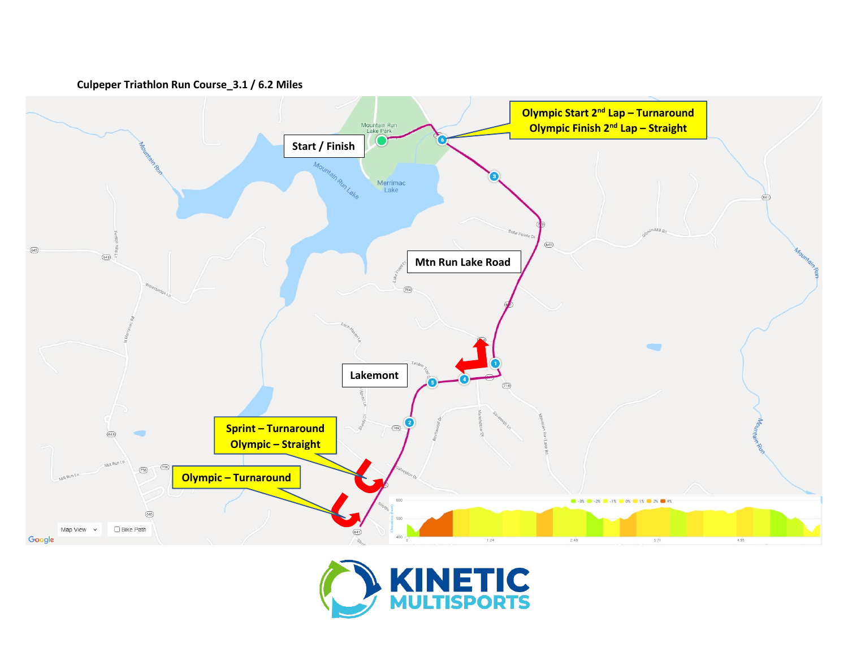



# **Culpeper Triathlon Run Course\_3.1 / 6.2 Miles**